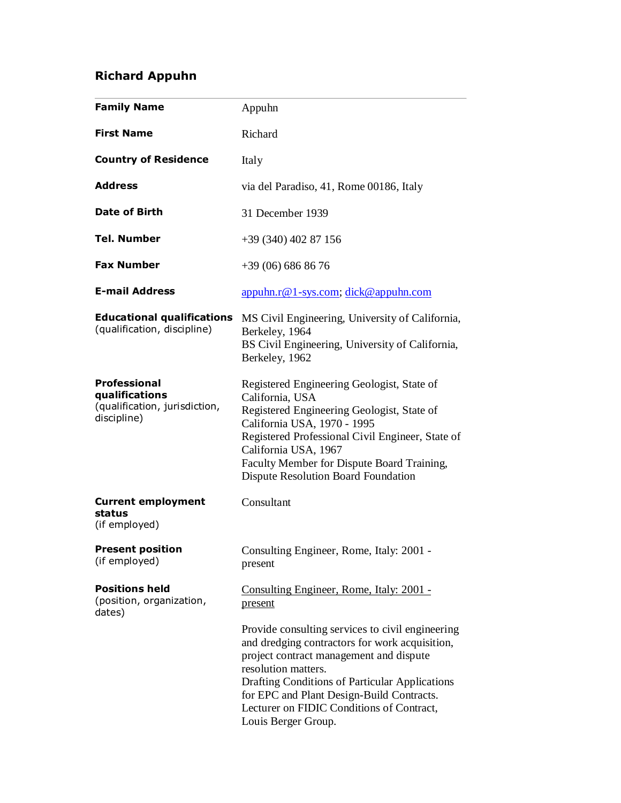# **Richard Appuhn**

| <b>Family Name</b>                                                                    | Appuhn                                                                                                                                                                                                                                                                                                                                  |
|---------------------------------------------------------------------------------------|-----------------------------------------------------------------------------------------------------------------------------------------------------------------------------------------------------------------------------------------------------------------------------------------------------------------------------------------|
| <b>First Name</b>                                                                     | Richard                                                                                                                                                                                                                                                                                                                                 |
| <b>Country of Residence</b>                                                           | Italy                                                                                                                                                                                                                                                                                                                                   |
| <b>Address</b>                                                                        | via del Paradiso, 41, Rome 00186, Italy                                                                                                                                                                                                                                                                                                 |
| <b>Date of Birth</b>                                                                  | 31 December 1939                                                                                                                                                                                                                                                                                                                        |
| Tel. Number                                                                           | $+39(340)40287156$                                                                                                                                                                                                                                                                                                                      |
| <b>Fax Number</b>                                                                     | $+39(06)6868676$                                                                                                                                                                                                                                                                                                                        |
| <b>E-mail Address</b>                                                                 | appuhn.r@1-sys.com; dick@appuhn.com                                                                                                                                                                                                                                                                                                     |
| <b>Educational qualifications</b><br>(qualification, discipline)                      | MS Civil Engineering, University of California,<br>Berkeley, 1964<br>BS Civil Engineering, University of California,<br>Berkeley, 1962                                                                                                                                                                                                  |
| <b>Professional</b><br>qualifications<br>(qualification, jurisdiction,<br>discipline) | Registered Engineering Geologist, State of<br>California, USA<br>Registered Engineering Geologist, State of<br>California USA, 1970 - 1995<br>Registered Professional Civil Engineer, State of<br>California USA, 1967<br>Faculty Member for Dispute Board Training,<br><b>Dispute Resolution Board Foundation</b>                      |
| <b>Current employment</b><br>status<br>(if employed)                                  | Consultant                                                                                                                                                                                                                                                                                                                              |
| <b>Present position</b><br>(if employed)                                              | Consulting Engineer, Rome, Italy: 2001 -<br>present                                                                                                                                                                                                                                                                                     |
| <b>Positions held</b><br>(position, organization,<br>dates)                           | Consulting Engineer, Rome, Italy: 2001 -<br>present                                                                                                                                                                                                                                                                                     |
|                                                                                       | Provide consulting services to civil engineering<br>and dredging contractors for work acquisition,<br>project contract management and dispute<br>resolution matters.<br>Drafting Conditions of Particular Applications<br>for EPC and Plant Design-Build Contracts.<br>Lecturer on FIDIC Conditions of Contract,<br>Louis Berger Group. |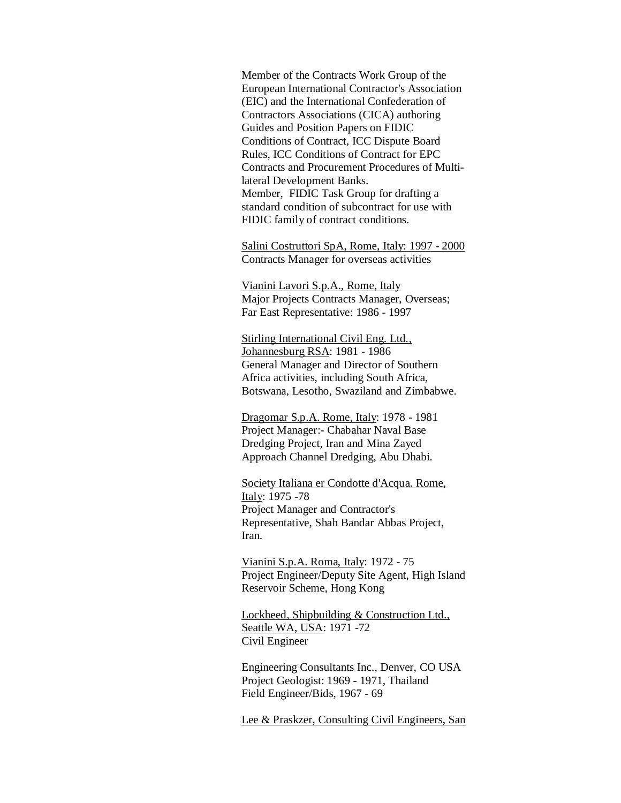Member of the Contracts Work Group of the European International Contractor's Association (EIC) and the International Confederation of Contractors Associations (CICA) authoring Guides and Position Papers on FIDIC Conditions of Contract, ICC Dispute Board Rules, ICC Conditions of Contract for EPC Contracts and Procurement Procedures of Multilateral Development Banks. Member, FIDIC Task Group for drafting a standard condition of subcontract for use with FIDIC family of contract conditions.

Salini Costruttori SpA, Rome, Italy: 1997 - 2000 Contracts Manager for overseas activities

Vianini Lavori S.p.A., Rome, Italy Major Projects Contracts Manager, Overseas; Far East Representative: 1986 - 1997

Stirling International Civil Eng. Ltd., Johannesburg RSA: 1981 - 1986 General Manager and Director of Southern Africa activities, including South Africa, Botswana, Lesotho, Swaziland and Zimbabwe.

Dragomar S.p.A. Rome, Italy: 1978 - 1981 Project Manager:- Chabahar Naval Base Dredging Project, Iran and Mina Zayed Approach Channel Dredging, Abu Dhabi.

Society Italiana er Condotte d'Acqua. Rome, Italy: 1975 -78 Project Manager and Contractor's Representative, Shah Bandar Abbas Project, Iran.

Vianini S.p.A. Roma, Italy: 1972 - 75 Project Engineer/Deputy Site Agent, High Island Reservoir Scheme, Hong Kong

Lockheed, Shipbuilding & Construction Ltd., Seattle WA, USA: 1971 -72 Civil Engineer

Engineering Consultants Inc., Denver, CO USA Project Geologist: 1969 - 1971, Thailand Field Engineer/Bids, 1967 - 69

Lee & Praskzer, Consulting Civil Engineers, San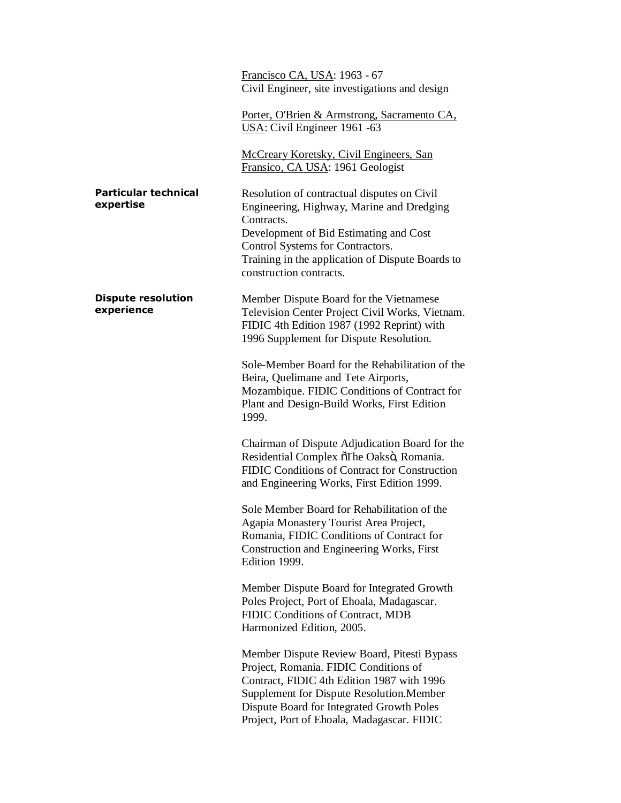|                                          | Francisco CA, USA: 1963 - 67<br>Civil Engineer, site investigations and design                                                                                                                                                                                                    |
|------------------------------------------|-----------------------------------------------------------------------------------------------------------------------------------------------------------------------------------------------------------------------------------------------------------------------------------|
|                                          | Porter, O'Brien & Armstrong, Sacramento CA,<br>USA: Civil Engineer 1961 -63                                                                                                                                                                                                       |
|                                          | <b>McCreary Koretsky, Civil Engineers, San</b><br>Fransico, CA USA: 1961 Geologist                                                                                                                                                                                                |
| <b>Particular technical</b><br>expertise | Resolution of contractual disputes on Civil<br>Engineering, Highway, Marine and Dredging<br>Contracts.<br>Development of Bid Estimating and Cost<br>Control Systems for Contractors.<br>Training in the application of Dispute Boards to<br>construction contracts.               |
| <b>Dispute resolution</b><br>experience  | Member Dispute Board for the Vietnamese<br>Television Center Project Civil Works, Vietnam.<br>FIDIC 4th Edition 1987 (1992 Reprint) with<br>1996 Supplement for Dispute Resolution.                                                                                               |
|                                          | Sole-Member Board for the Rehabilitation of the<br>Beira, Quelimane and Tete Airports,<br>Mozambique. FIDIC Conditions of Contract for<br>Plant and Design-Build Works, First Edition<br>1999.                                                                                    |
|                                          | Chairman of Dispute Adjudication Board for the<br>Residential Complex õThe Oaksö, Romania.<br>FIDIC Conditions of Contract for Construction<br>and Engineering Works, First Edition 1999.                                                                                         |
|                                          | Sole Member Board for Rehabilitation of the<br>Agapia Monastery Tourist Area Project,<br>Romania, FIDIC Conditions of Contract for<br>Construction and Engineering Works, First<br>Edition 1999.                                                                                  |
|                                          | Member Dispute Board for Integrated Growth<br>Poles Project, Port of Ehoala, Madagascar.<br>FIDIC Conditions of Contract, MDB<br>Harmonized Edition, 2005.                                                                                                                        |
|                                          | Member Dispute Review Board, Pitesti Bypass<br>Project, Romania. FIDIC Conditions of<br>Contract, FIDIC 4th Edition 1987 with 1996<br><b>Supplement for Dispute Resolution. Member</b><br>Dispute Board for Integrated Growth Poles<br>Project, Port of Ehoala, Madagascar. FIDIC |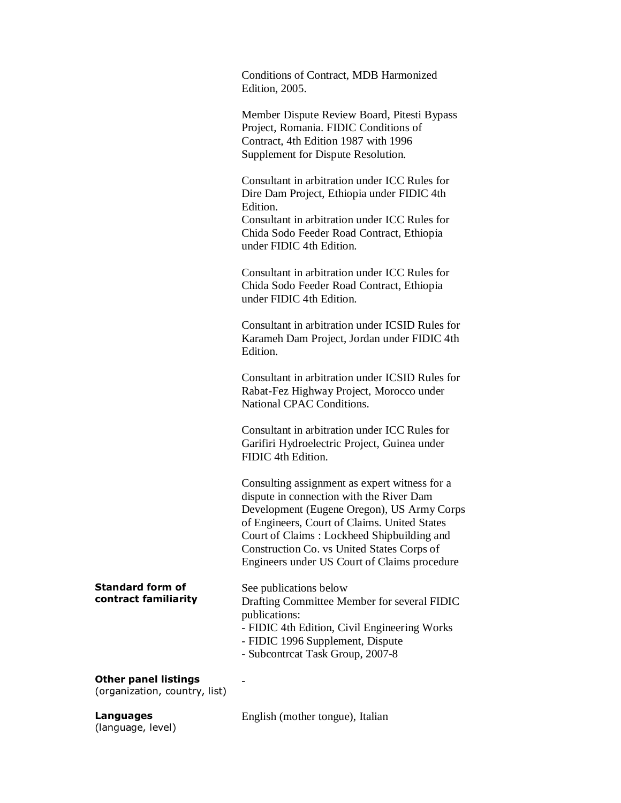Conditions of Contract, MDB Harmonized Edition, 2005.

Member Dispute Review Board, Pitesti Bypass Project, Romania. FIDIC Conditions of Contract, 4th Edition 1987 with 1996 Supplement for Dispute Resolution.

Consultant in arbitration under ICC Rules for Dire Dam Project, Ethiopia under FIDIC 4th Edition. Consultant in arbitration under ICC Rules for Chida Sodo Feeder Road Contract, Ethiopia under FIDIC 4th Edition.

Consultant in arbitration under ICC Rules for Chida Sodo Feeder Road Contract, Ethiopia under FIDIC 4th Edition.

Consultant in arbitration under ICSID Rules for Karameh Dam Project, Jordan under FIDIC 4th Edition.

Consultant in arbitration under ICSID Rules for Rabat-Fez Highway Project, Morocco under National CPAC Conditions.

Consultant in arbitration under ICC Rules for Garifiri Hydroelectric Project, Guinea under FIDIC 4th Edition.

Consulting assignment as expert witness for a dispute in connection with the River Dam Development (Eugene Oregon), US Army Corps of Engineers, Court of Claims. United States Court of Claims : Lockheed Shipbuilding and Construction Co. vs United States Corps of Engineers under US Court of Claims procedure

### **Standard form of contract familiarity**

## See publications below Drafting Committee Member for several FIDIC publications:

- FIDIC 4th Edition, Civil Engineering Works
- FIDIC 1996 Supplement, Dispute
- Subcontrcat Task Group, 2007-8

## **Other panel listings**

(organization, country, list)

**Languages** (language, level)

English (mother tongue), Italian

-